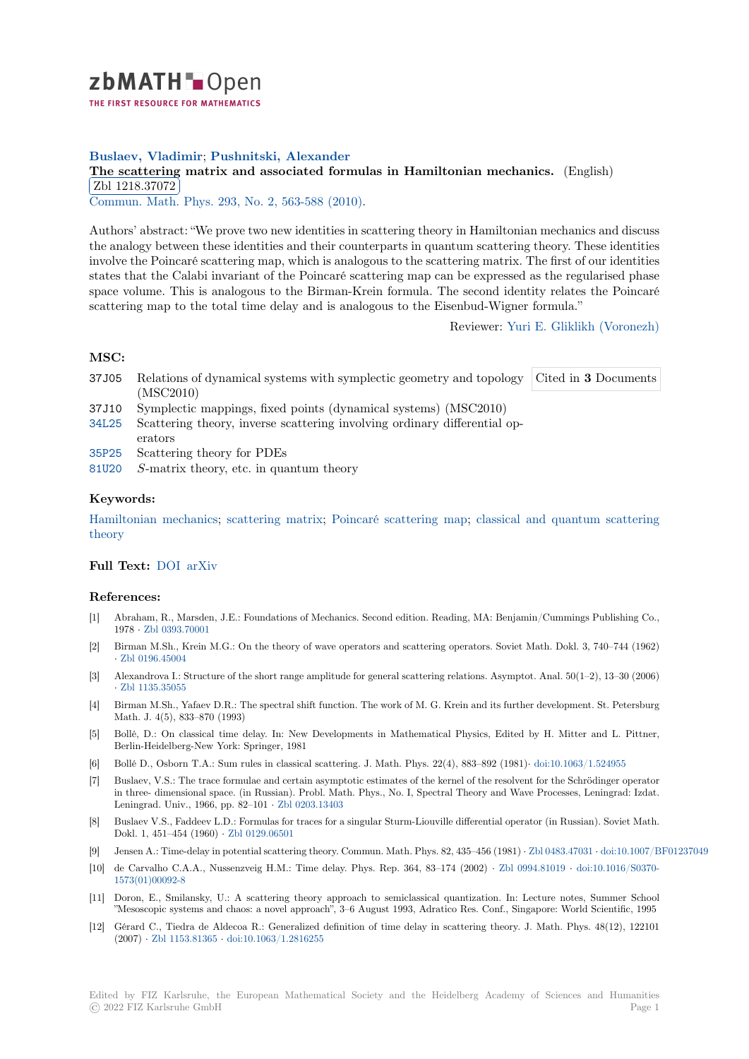

# **Buslaev, Vladimir**; **Pushnitski, Alexander**

# **[T](https://zbmath.org/)he scattering matrix and associated formulas in Hamiltonian mechanics.** (English)  $\boxed{71,1329,27272}$ Zbl 1218.37072

Commun. Math. Phys. 293, No. 2, 563-588 (2010).

[Authors' abstract: "We prove two new identities in scattering theory in Hamiltonian me](https://zbmath.org/1218.37072)chanics and discuss [the analogy betwe](https://zbmath.org/1218.37072)en these identities and their counterparts in quantum scattering theory. These identities [involve the Poincaré sca](https://zbmath.org/journals/?q=se:63)[ttering map, which is analo](https://zbmath.org/?q=in:258108)gous to the scattering matrix. The first of our identities states that the Calabi invariant of the Poincaré scattering map can be expressed as the regularised phase space volume. This is analogous to the Birman-Krein formula. The second identity relates the Poincaré scattering map to the total time delay and is analogous to the Eisenbud-Wigner formula."

Reviewer: Yuri E. Gliklikh (Voronezh)

#### **MSC:**

- 37J05 Relations of dynamical systems with symplectic geometry and topology (MSC2010) Cited in **3** [Documents](https://zbmath.org/authors/?q=gliklikh.yuri-e)
- 37J10 Symplectic mappings, fixed points (dynamical systems) (MSC2010)
- 34L25 Scattering theory, inverse scattering involving ordinary differential operators
- 35P25 Scattering theory for PDEs
- 81U20 *S*-matrix theory, etc. in quantum theory

### **[Keyw](https://zbmath.org/classification/?q=cc:34L25)ords:**

[Hamil](https://zbmath.org/classification/?q=cc:35P25)tonian mechanics; scattering matrix; Poincaré scattering map; classical and quantum scattering [theory](https://zbmath.org/classification/?q=cc:81U20)

### **Full Text:** DOI arXiv

#### **[Refere](https://zbmath.org/?q=ut:classical+and+quantum+scattering+theory)nces:**

- [1] Abraham, R., Marsden, J.E.: Foundations of Mechanics. Second edition. Reading, MA: Benjamin/Cummings Publishing Co., 1978 *·* Zb[l 0393](https://dx.doi.org/10.1007/s00220-009-0937-7).[70001](https://arxiv.org/abs/0805.4172)
- [2] Birman M.Sh., Krein M.G.: On the theory of wave operators and scattering operators. Soviet Math. Dokl. 3, 740–744 (1962) *·* Zbl 0196.45004
- [3] Alexandrova I.: Structure of the short range amplitude for general scattering relations. Asymptot. Anal. 50(1–2), 13–30 (2006) *·* Zbl1[135.35055](https://zbmath.org/0393.70001)
- [4] Birman M.Sh., Yafaev D.R.: The spectral shift function. The work of M. G. Krein and its further development. St. Petersburg [Math. J. 4\(5\), 83](https://zbmath.org/0196.45004)3–870 (1993)
- [5] Bollé, D.: On classical time delay. In: New Developments in Mathematical Physics, Edited by H. Mitter and L. Pittner, [Berlin-Heidelberg](https://zbmath.org/1135.35055)-New York: Springer, 1981
- [6] Bollé D., Osborn T.A.: Sum rules in classical scattering. J. Math. Phys. 22(4), 883–892 (1981)*·* doi:10.1063/1.524955
- [7] Buslaev, V.S.: The trace formulae and certain asymptotic estimates of the kernel of the resolvent for the Schrödinger operator in three- dimensional space. (in Russian). Probl. Math. Phys., No. I, Spectral Theory and Wave Processes, Leningrad: Izdat. Leningrad. Univ., 1966, pp. 82–101 *·* Zbl 0203.13403
- [8] Buslaev V.S., Faddeev L.D.: Formulas for traces for a singular Sturm-Liouville differential operat[or \(in Russian\). Sovie](https://dx.doi.org/10.1063/1.524955)t Math. Dokl. 1, 451–454 (1960) *·* Zbl 0129.06501
- [9] Jensen A.: Time-delay in potential scattering theory. Commun. Math. Phys. 82, 435–456 (1981) *·* Zbl 0483.47031 *·* doi:10.1007/BF01237049
- [10] de Carvalho C.A.A., Nussenzveig H.[M.: Time delay](https://zbmath.org/0203.13403). Phys. Rep. 364, 83–174 (2002) *·* Zbl 0994.81019 *·* doi:10.1016/S0370- 1573(01)00092-8
- [11] Doron, E., Smilansky, U.[: A scattering t](https://zbmath.org/0129.06501)heory approach to semiclassical quantization. In: Lecture notes, Summer School "Mesoscopic systems and chaos: a novel approach", 3–6 August 1993, Adratico Res. Conf., Sin[gapore: World S](https://zbmath.org/0483.47031)[cientific, 1995](https://dx.doi.org/10.1007/BF01237049)
- [12] Gérard C., Tiedra de Aldecoa R.: Generalized definition of time delay in scattering t[heory. J. Math.](https://zbmath.org/0994.81019) P[hys. 48\(12\), 122101](https://dx.doi.org/10.1016/S0370-1573(01)00092-8) (2007) *·* [Zbl 1153](https://dx.doi.org/10.1016/S0370-1573(01)00092-8).81365 *·* doi:10.1063/1.2816255